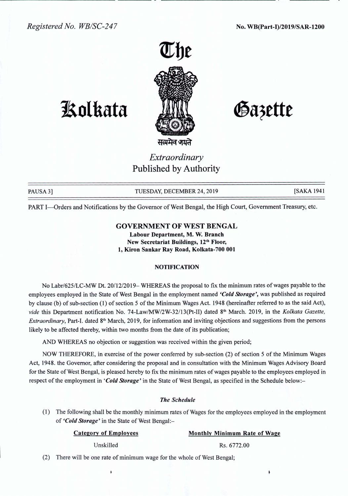

# **1!olkata**

Gazette

*Extraordinary* Published by Authority

PAUSA 3] TUESDAY, DECEMBER 24, 2019 [SAKA 1941]

PART I-Orders and Notifications by the Governor of West Bengal, the High Court, Government Treasury, etc.

## GOVERNMENT OF WEST BENGAL

Labour Department, M. W. Branch New Secretariat Buildings, 12<sup>th</sup> Floor, 1, Kiron Sankar Ray Road, Kolkata-700 001

## **NOTIFICATION**

No Labr/625ILC-MW Dt. *20/12/2019-* WHEREAS the proposal to fix the minimum rates of wages payable to the employees employed in the State of West Bengal in the employment named *'Cold Storage',* was published as required by clause (b) of sub-section (1) of section 5 of the Minimum Wages Act. 1948 (hereinafter referred to as the said Act), *vide* this Department notification No. 74-Law/MW/2W-32/13(Pt-II) dated 8<sup>th</sup> March. 2019, in the *Kolkata Gazette*, *Extraordinary*, Part-I. dated 8<sup>th</sup> March, 2019, for information and inviting objections and suggestions from the persons likely to be affected thereby, within two months from the date of its publication;

AND WHEREAS no objection or suggestion was received within the given period;

NOW THEREFORE, in exercise of the power conferred by sub-section (2) of section 5 of the Minimum Wages Act, 1948. the Governor, after considering the proposal and in consultation with the Minimum Wages Advisory Board for the State of West Bengal, is pleased hereby to fix the minimum rates of wages payable to the employees employed in respect of the employment in *'Cold Storage'* in the State of West Bengal, as specified in the Schedule below:-

#### *The Schedule*

(I) The following shall be the monthly minimum rates of Wages for the employees employed in the employment of *'Cold Storage'* in the State of West Bengal:-

### Category of Employees Monthly Minimum Rate of Wage

(2) There will be one rate of minimum wage for the whole of West Bengal;

Unskilled Rs. 6772.00